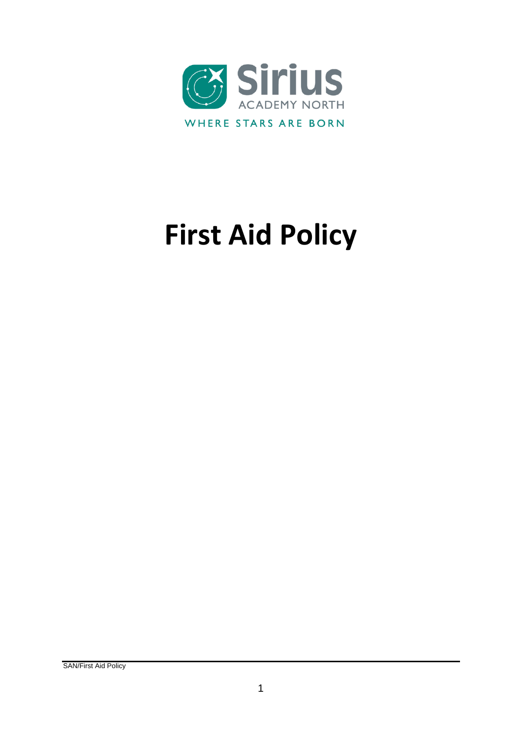

# **First Aid Policy**

SAN/First Aid Policy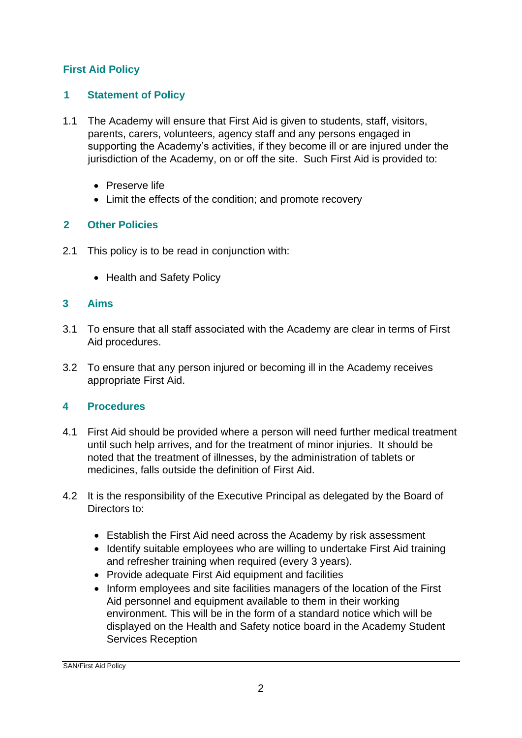# **First Aid Policy**

#### **1 Statement of Policy**

- 1.1 The Academy will ensure that First Aid is given to students, staff, visitors, parents, carers, volunteers, agency staff and any persons engaged in supporting the Academy's activities, if they become ill or are injured under the jurisdiction of the Academy, on or off the site. Such First Aid is provided to:
	- Preserve life
	- Limit the effects of the condition; and promote recovery

# **2 Other Policies**

- 2.1 This policy is to be read in conjunction with:
	- Health and Safety Policy

#### **3 Aims**

- 3.1 To ensure that all staff associated with the Academy are clear in terms of First Aid procedures.
- 3.2 To ensure that any person injured or becoming ill in the Academy receives appropriate First Aid.

# **4 Procedures**

- 4.1 First Aid should be provided where a person will need further medical treatment until such help arrives, and for the treatment of minor injuries. It should be noted that the treatment of illnesses, by the administration of tablets or medicines, falls outside the definition of First Aid.
- 4.2 It is the responsibility of the Executive Principal as delegated by the Board of Directors to:
	- Establish the First Aid need across the Academy by risk assessment
	- Identify suitable employees who are willing to undertake First Aid training and refresher training when required (every 3 years).
	- Provide adequate First Aid equipment and facilities
	- Inform employees and site facilities managers of the location of the First Aid personnel and equipment available to them in their working environment. This will be in the form of a standard notice which will be displayed on the Health and Safety notice board in the Academy Student Services Reception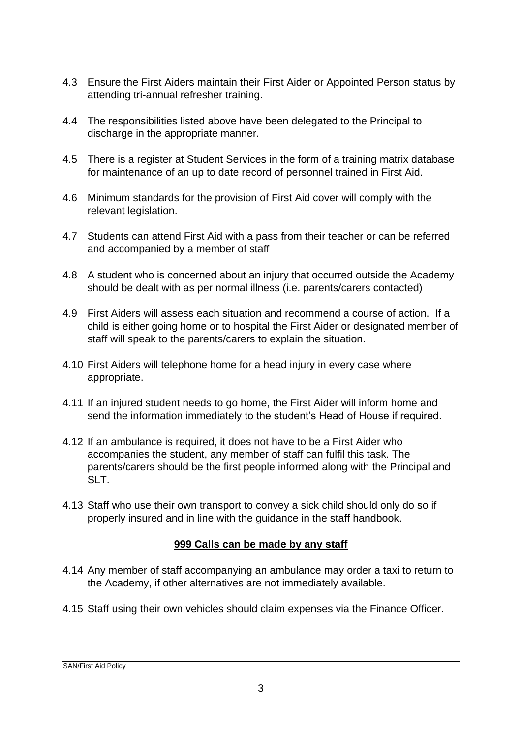- 4.3 Ensure the First Aiders maintain their First Aider or Appointed Person status by attending tri-annual refresher training.
- 4.4 The responsibilities listed above have been delegated to the Principal to discharge in the appropriate manner.
- 4.5 There is a register at Student Services in the form of a training matrix database for maintenance of an up to date record of personnel trained in First Aid.
- 4.6 Minimum standards for the provision of First Aid cover will comply with the relevant legislation.
- 4.7 Students can attend First Aid with a pass from their teacher or can be referred and accompanied by a member of staff
- 4.8 A student who is concerned about an injury that occurred outside the Academy should be dealt with as per normal illness (i.e. parents/carers contacted)
- 4.9 First Aiders will assess each situation and recommend a course of action. If a child is either going home or to hospital the First Aider or designated member of staff will speak to the parents/carers to explain the situation.
- 4.10 First Aiders will telephone home for a head injury in every case where appropriate.
- 4.11 If an injured student needs to go home, the First Aider will inform home and send the information immediately to the student's Head of House if required.
- 4.12 If an ambulance is required, it does not have to be a First Aider who accompanies the student, any member of staff can fulfil this task. The parents/carers should be the first people informed along with the Principal and SLT.
- 4.13 Staff who use their own transport to convey a sick child should only do so if properly insured and in line with the guidance in the staff handbook.

# **999 Calls can be made by any staff**

- 4.14 Any member of staff accompanying an ambulance may order a taxi to return to the Academy, if other alternatives are not immediately available.
- 4.15 Staff using their own vehicles should claim expenses via the Finance Officer.

SAN/First Aid Policy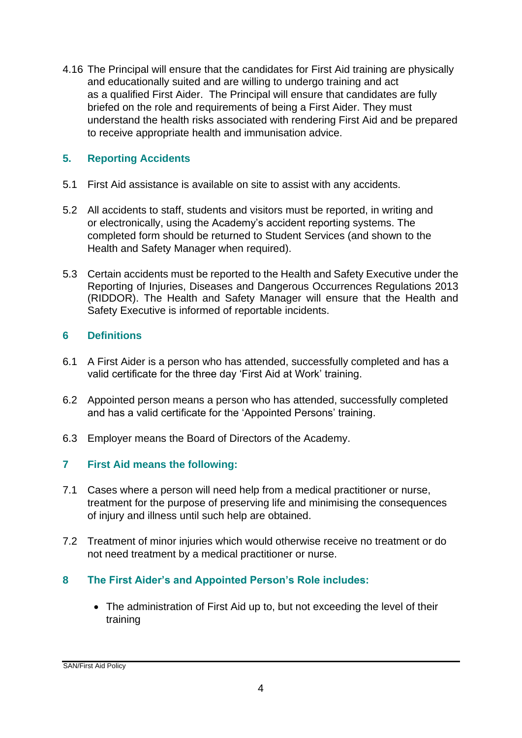4.16 The Principal will ensure that the candidates for First Aid training are physically and educationally suited and are willing to undergo training and act as a qualified First Aider. The Principal will ensure that candidates are fully briefed on the role and requirements of being a First Aider. They must understand the health risks associated with rendering First Aid and be prepared to receive appropriate health and immunisation advice.

#### **5. Reporting Accidents**

- 5.1 First Aid assistance is available on site to assist with any accidents.
- 5.2 All accidents to staff, students and visitors must be reported, in writing and or electronically, using the Academy's accident reporting systems. The completed form should be returned to Student Services (and shown to the Health and Safety Manager when required).
- 5.3 Certain accidents must be reported to the Health and Safety Executive under the Reporting of Injuries, Diseases and Dangerous Occurrences Regulations 2013 (RIDDOR). The Health and Safety Manager will ensure that the Health and Safety Executive is informed of reportable incidents.

#### **6 Definitions**

- 6.1 A First Aider is a person who has attended, successfully completed and has a valid certificate for the three day 'First Aid at Work' training.
- 6.2 Appointed person means a person who has attended, successfully completed and has a valid certificate for the 'Appointed Persons' training.
- 6.3 Employer means the Board of Directors of the Academy.

# **7 First Aid means the following:**

- 7.1 Cases where a person will need help from a medical practitioner or nurse, treatment for the purpose of preserving life and minimising the consequences of injury and illness until such help are obtained.
- 7.2 Treatment of minor injuries which would otherwise receive no treatment or do not need treatment by a medical practitioner or nurse.

# **8 The First Aider's and Appointed Person's Role includes:**

 The administration of First Aid up to, but not exceeding the level of their training

SAN/First Aid Policy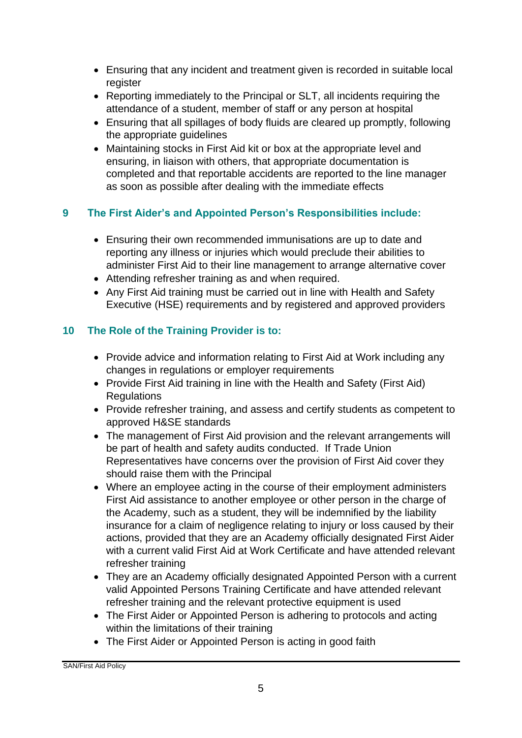- Ensuring that any incident and treatment given is recorded in suitable local register
- Reporting immediately to the Principal or SLT, all incidents requiring the attendance of a student, member of staff or any person at hospital
- Ensuring that all spillages of body fluids are cleared up promptly, following the appropriate guidelines
- Maintaining stocks in First Aid kit or box at the appropriate level and ensuring, in liaison with others, that appropriate documentation is completed and that reportable accidents are reported to the line manager as soon as possible after dealing with the immediate effects

# **9 The First Aider's and Appointed Person's Responsibilities include:**

- Ensuring their own recommended immunisations are up to date and reporting any illness or injuries which would preclude their abilities to administer First Aid to their line management to arrange alternative cover
- Attending refresher training as and when required.
- Any First Aid training must be carried out in line with Health and Safety Executive (HSE) requirements and by registered and approved providers

# **10 The Role of the Training Provider is to:**

- Provide advice and information relating to First Aid at Work including any changes in regulations or employer requirements
- Provide First Aid training in line with the Health and Safety (First Aid) Regulations
- Provide refresher training, and assess and certify students as competent to approved H&SE standards
- The management of First Aid provision and the relevant arrangements will be part of health and safety audits conducted. If Trade Union Representatives have concerns over the provision of First Aid cover they should raise them with the Principal
- Where an employee acting in the course of their employment administers First Aid assistance to another employee or other person in the charge of the Academy, such as a student, they will be indemnified by the liability insurance for a claim of negligence relating to injury or loss caused by their actions, provided that they are an Academy officially designated First Aider with a current valid First Aid at Work Certificate and have attended relevant refresher training
- They are an Academy officially designated Appointed Person with a current valid Appointed Persons Training Certificate and have attended relevant refresher training and the relevant protective equipment is used
- The First Aider or Appointed Person is adhering to protocols and acting within the limitations of their training
- The First Aider or Appointed Person is acting in good faith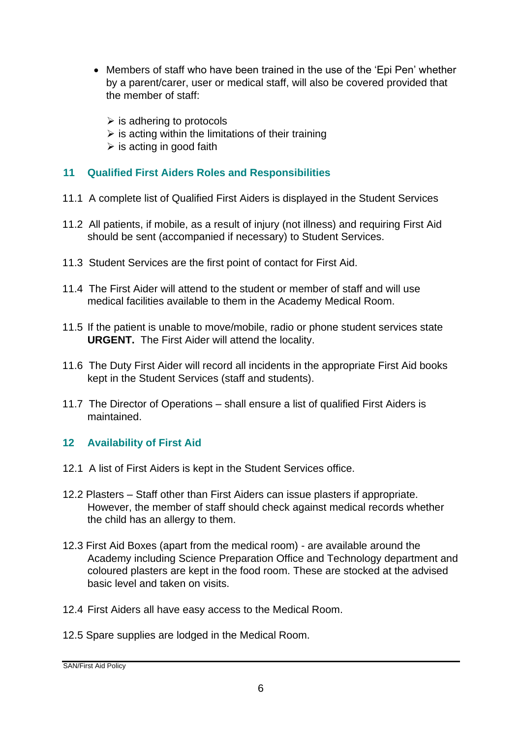- Members of staff who have been trained in the use of the 'Epi Pen' whether by a parent/carer, user or medical staff, will also be covered provided that the member of staff:
	- $\triangleright$  is adhering to protocols
	- $\triangleright$  is acting within the limitations of their training
	- $\triangleright$  is acting in good faith

#### **11 Qualified First Aiders Roles and Responsibilities**

- 11.1 A complete list of Qualified First Aiders is displayed in the Student Services
- 11.2 All patients, if mobile, as a result of injury (not illness) and requiring First Aid should be sent (accompanied if necessary) to Student Services.
- 11.3 Student Services are the first point of contact for First Aid.
- 11.4 The First Aider will attend to the student or member of staff and will use medical facilities available to them in the Academy Medical Room.
- 11.5 If the patient is unable to move/mobile, radio or phone student services state **URGENT.** The First Aider will attend the locality.
- 11.6 The Duty First Aider will record all incidents in the appropriate First Aid books kept in the Student Services (staff and students).
- 11.7 The Director of Operations shall ensure a list of qualified First Aiders is maintained.

#### **12 Availability of First Aid**

- 12.1 A list of First Aiders is kept in the Student Services office.
- 12.2 Plasters Staff other than First Aiders can issue plasters if appropriate. However, the member of staff should check against medical records whether the child has an allergy to them.
- 12.3 First Aid Boxes (apart from the medical room) are available around the Academy including Science Preparation Office and Technology department and coloured plasters are kept in the food room. These are stocked at the advised basic level and taken on visits.
- 12.4 First Aiders all have easy access to the Medical Room.
- 12.5 Spare supplies are lodged in the Medical Room.

SAN/First Aid Policy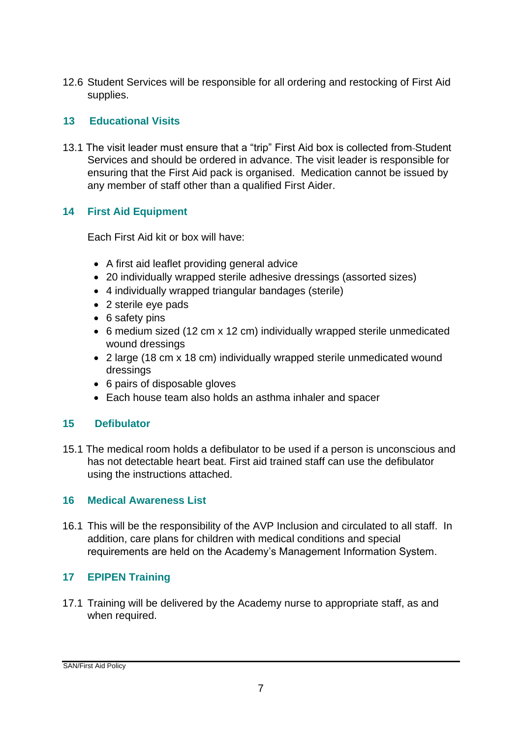12.6 Student Services will be responsible for all ordering and restocking of First Aid supplies.

#### **13 Educational Visits**

13.1 The visit leader must ensure that a "trip" First Aid box is collected from Student Services and should be ordered in advance. The visit leader is responsible for ensuring that the First Aid pack is organised. Medication cannot be issued by any member of staff other than a qualified First Aider.

# **14 First Aid Equipment**

Each First Aid kit or box will have:

- A first aid leaflet providing general advice
- 20 individually wrapped sterile adhesive dressings (assorted sizes)
- 4 individually wrapped triangular bandages (sterile)
- 2 sterile eye pads
- 6 safety pins
- 6 medium sized (12 cm x 12 cm) individually wrapped sterile unmedicated wound dressings
- 2 large (18 cm x 18 cm) individually wrapped sterile unmedicated wound dressings
- 6 pairs of disposable gloves
- Each house team also holds an asthma inhaler and spacer

# **15 Defibulator**

15.1 The medical room holds a defibulator to be used if a person is unconscious and has not detectable heart beat. First aid trained staff can use the defibulator using the instructions attached.

#### **16 Medical Awareness List**

16.1 This will be the responsibility of the AVP Inclusion and circulated to all staff. In addition, care plans for children with medical conditions and special requirements are held on the Academy's Management Information System.

# **17 EPIPEN Training**

17.1 Training will be delivered by the Academy nurse to appropriate staff, as and when required.

SAN/First Aid Policy